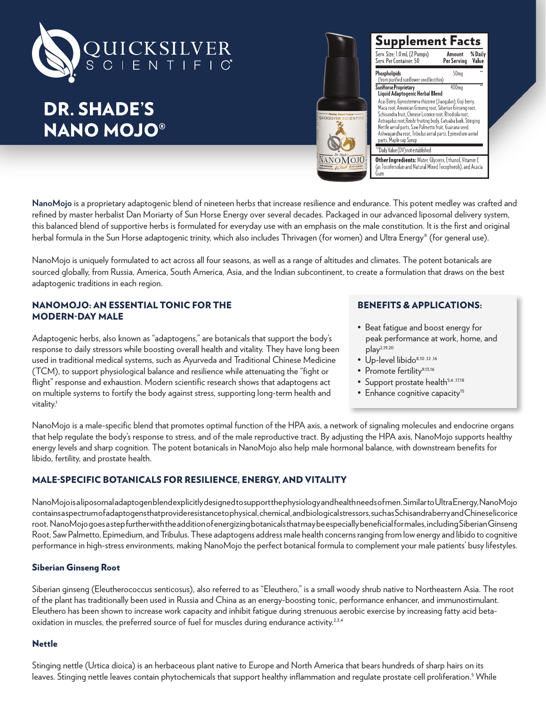

# DR. SHADE'S NANO MOJO®



| <b>Supplement Facts</b><br>Serv. Size: 1.0 mL (2 Pumps)<br>Serv. Per Container: 50                                                                                                                                                                                                                                                                                   | % Daily<br>Amount<br>Value<br>Per Servina |  |
|----------------------------------------------------------------------------------------------------------------------------------------------------------------------------------------------------------------------------------------------------------------------------------------------------------------------------------------------------------------------|-------------------------------------------|--|
| Phospholipids<br>(from purified sunflower seed lecithin)                                                                                                                                                                                                                                                                                                             | 50 <sub>ma</sub>                          |  |
| SunHorse Proprietary<br>Liquid Adaptogenic Herbal Blend<br>Acai Berry, Gynostemma rhizome (Jiaoqulan), Goji berry,<br>Maca root, American Ginseng root, Siberian Ginseng root,<br>Schisandra fruit, Chinese Licorice root, Rhodiola root,<br>Astragalus root, Reishi fruiting body, Catuaba bark, Stinging<br>Nettle aerial parts, Saw Palmetto fruit, Guarana seed, | 400ma                                     |  |
| Ashwagandha root, Tribulus aerial parts, Epimedium aerial<br>parts, Maple sap Syrup                                                                                                                                                                                                                                                                                  |                                           |  |

**NanoMojo** is a proprietary adaptogenic blend of nineteen herbs that increase resilience and endurance. This potent medley was crafted and refined by master herbalist Dan Moriarty of Sun Horse Energy over several decades. Packaged in our advanced liposomal delivery system, this balanced blend of supportive herbs is formulated for everyday use with an emphasis on the male constitution. It is the first and original herbal formula in the Sun Horse adaptogenic trinity, which also includes Thrivagen (for women) and Ultra Energy® (for general use).

NanoMojo is uniquely formulated to act across all four seasons, as well as a range of altitudes and climates. The potent botanicals are sourced globally, from Russia, America, South America, Asia, and the Indian subcontinent, to create a formulation that draws on the best adaptogenic traditions in each region.

## NANOMOJO: AN ESSENTIAL TONIC FOR THE MODERN-DAY MALE

Adaptogenic herbs, also known as "adaptogens," are botanicals that support the body's response to daily stressors while boosting overall health and vitality. They have long been used in traditional medical systems, such as Ayurveda and Traditional Chinese Medicine (TCM), to support physiological balance and resilience while attenuating the "fight or flight" response and exhaustion. Modern scientific research shows that adaptogens act on multiple systems to fortify the body against stress, supporting long-term health and vitality.<sup>1</sup>

# BENEFITS & APPLICATIONS:

- Beat fatigue and boost energy for peak performance at work, home, and play2,19,20
- Up-level libido<sup>8,10</sup>,12,16
- Promote fertility<sup>9,13,16</sup>
- Support prostate health<sup>5,6 ,17,18</sup>
- Enhance cognitive capacity<sup>15</sup>

NanoMojo is a male-specific blend that promotes optimal function of the HPA axis, a network of signaling molecules and endocrine organs that help regulate the body's response to stress, and of the male reproductive tract. By adjusting the HPA axis, NanoMojo supports healthy energy levels and sharp cognition. The potent botanicals in NanoMojo also help male hormonal balance, with downstream benefits for libido, fertility, and prostate health.

# MALE-SPECIFIC BOTANICALS FOR RESILIENCE, ENERGY, AND VITALITY

NanoMojo is a liposomal adaptogen blend explicitly designed to support the physiology and health needs of men. Similar to Ultra Energy, NanoMojo contains a spectrum of adaptogens that provide resistance to physical, chemical, and biological stressors, such as Schisandra berry and Chinese licorice root. NanoMojo goes a step further with the addition of energizing botanicals that may be especially beneficial for males, including Siberian Ginseng Root, Saw Palmetto, Epimedium, and Tribulus. These adaptogens address male health concerns ranging from low energy and libido to cognitive performance in high-stress environments, making NanoMojo the perfect botanical formula to complement your male patients' busy lifestyles.

### Siberian Ginseng Root

Siberian ginseng (Eleutherococcus senticosus), also referred to as "Eleuthero," is a small woody shrub native to Northeastern Asia. The root of the plant has traditionally been used in Russia and China as an energy-boosting tonic, performance enhancer, and immunostimulant. Eleuthero has been shown to increase work capacity and inhibit fatigue during strenuous aerobic exercise by increasing fatty acid betaoxidation in muscles, the preferred source of fuel for muscles during endurance activity.<sup>2,3,4</sup>

### Nettle

Stinging nettle (Urtica dioica) is an herbaceous plant native to Europe and North America that bears hundreds of sharp hairs on its leaves. Stinging nettle leaves contain phytochemicals that support healthy inflammation and regulate prostate cell proliferation.<sup>5</sup> While